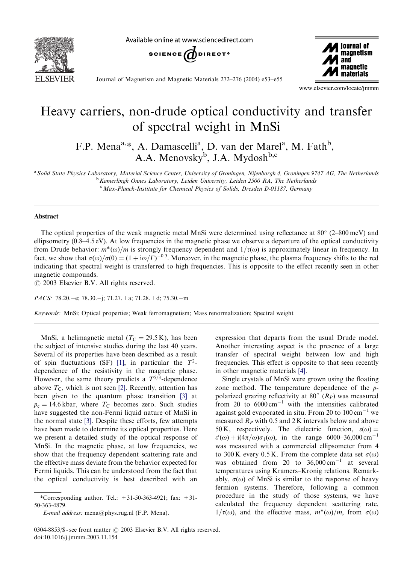

Available online at www.sciencedirect.com





Journal of Magnetism and Magnetic Materials 272–276 (2004) e53–e55

www.elsevier.com/locate/jmmm

## Heavy carriers, non-drude optical conductivity and transfer of spectral weight in MnSi

F.P. Mena<sup>a,\*</sup>, A. Damascelli<sup>a</sup>, D. van der Marel<sup>a</sup>, M. Fath<sup>b</sup>, A.A. Menovsky<sup>b</sup>, J.A. Mydosh<sup>b,c</sup>

<sup>a</sup> Solid State Physics Laboratory, Material Science Center, University of Groningen, Nijenborgh 4, Groningen 9747 AG, The Netherlands  $b$ Kamerlingh Onnes Laboratory, Leiden University, Leiden 2500 RA, The Netherlands

<sup>c</sup> Max-Planck-Institute for Chemical Physics of Solids, Dresden D-01187, Germany

## Abstract

The optical properties of the weak magnetic metal MnSi were determined using reflectance at  $80^\circ$  (2–800 meV) and ellipsometry  $(0.8-4.5 \text{ eV})$ . At low frequencies in the magnetic phase we observe a departure of the optical conductivity from Drude behavior:  $m^*(\omega)/m$  is strongly frequency dependent and  $1/\tau(\omega)$  is approximately linear in frequency. In fact, we show that  $\sigma(\omega)/\sigma(0) = (1 + i\omega/T)^{-0.5}$ . Moreover, in the magnetic phase, the plasma frequency shifts to the red indicating that spectral weight is transferred to high frequencies. This is opposite to the effect recently seen in other magnetic compounds.

 $O$  2003 Elsevier B.V. All rights reserved.

PACS: 78.20.-e; 78.30.-j; 71.27. + a; 71.28. + d; 75.30.-m

Keywords: MnSi; Optical properties; Weak ferromagnetism; Mass renormalization; Spectral weight

MnSi, a helimagnetic metal ( $T<sub>C</sub> = 29.5$ K), has been the subject of intensive studies during the last 40 years. Several of its properties have been described as a result of spin fluctuations (SF) [\[1\],](#page-2-0) in particular the  $T^2$ dependence of the resistivity in the magnetic phase. However, the same theory predicts a  $T^{5/3}$ -dependence above  $T_{\rm C}$ , which is not seen [\[2\]](#page-2-0). Recently, attention has been given to the quantum phase transition [\[3\]](#page-2-0) at  $p_c = 14.6$  kbar, where  $T_c$  becomes zero. Such studies have suggested the non-Fermi liquid nature of MnSi in the normal state [\[3\].](#page-2-0) Despite these efforts, few attempts have been made to determine its optical properties. Here we present a detailed study of the optical response of MnSi. In the magnetic phase, at low frequencies, we show that the frequency dependent scattering rate and the effective mass deviate from the behavior expected for Fermi liquids. This can be understood from the fact that the optical conductivity is best described with an

Another interesting aspect is the presence of a large transfer of spectral weight between low and high frequencies. This effect is opposite to that seen recently in other magnetic materials [\[4\]](#page-2-0). Single crystals of MnSi were grown using the floating

expression that departs from the usual Drude model.

zone method. The temperature dependence of the ppolarized grazing reflectivity at  $80^\circ$  ( $R_P$ ) was measured from 20 to  $6000 \text{ cm}^{-1}$  with the intensities calibrated against gold evaporated in situ. From 20 to  $100 \text{ cm}^{-1}$  we measured  $R_p$  with 0.5 and 2 K intervals below and above 50 K, respectively. The dielectric function,  $\varepsilon(\omega) =$  $\varepsilon'(\omega) + i(4\pi/\omega)\sigma_1(\omega)$ , in the range 6000–36,000 cm<sup>-1</sup> was measured with a commercial ellipsometer from 4 to 300 K every 0.5 K. From the complete data set  $\sigma(\omega)$ was obtained from 20 to  $36,000 \text{ cm}^{-1}$  at several temperatures using Kramers–Kronig relations. Remarkably,  $\sigma(\omega)$  of MnSi is similar to the response of heavy fermion systems. Therefore, following a common procedure in the study of those systems, we have calculated the frequency dependent scattering rate,  $1/\tau(\omega)$ , and the effective mass,  $m^*(\omega)/m$ , from  $\sigma(\omega)$ 

<sup>\*</sup>Corresponding author. Tel.:  $+31-50-363-4921$ ; fax:  $+31-$ 50-363-4879.

E-mail address: mena@phys.rug.nl (F.P. Mena).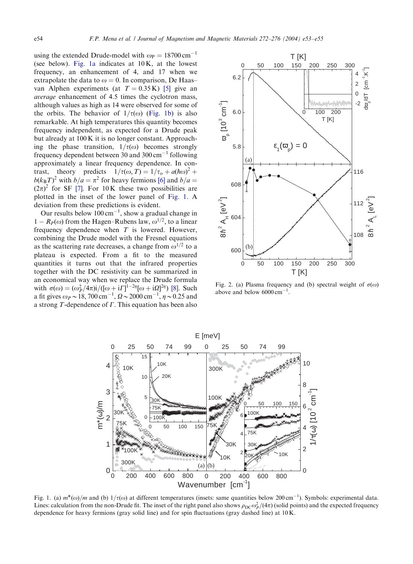<span id="page-1-0"></span>using the extended Drude-model with  $\omega_P = 18700 \text{ cm}^{-1}$ (see below). Fig. 1a indicates at  $10 K$ , at the lowest frequency, an enhancement of 4, and 17 when we extrapolate the data to  $\omega = 0$ . In comparison, De Haas– van Alphen experiments (at  $T = 0.35 \text{ K}$ ) [\[5\]](#page-2-0) give an average enhancement of 4.5 times the cyclotron mass, although values as high as 14 were observed for some of the orbits. The behavior of  $1/\tau(\omega)$  (Fig. 1b) is also remarkable. At high temperatures this quantity becomes frequency independent, as expected for a Drude peak but already at 100 K it is no longer constant. Approaching the phase transition,  $1/\tau(\omega)$  becomes strongly frequency dependent between 30 and 300 cm<sup>-1</sup> following approximately a linear frequency dependence. In contrast, theory predicts  $1/\tau(\omega, T) = 1/\tau_0 + a(\hbar\omega)^2 +$  $b(k_\text{B}T)^2$  with  $b/a = \pi^2$  for heavy fermions [\[6\]](#page-2-0) and  $b/a =$  $(2\pi)^2$  for SF [\[7\].](#page-2-0) For 10 K these two possibilities are plotted in the inset of the lower panel of Fig. 1. A deviation from these predictions is evident.

Our results below  $100 \text{ cm}^{-1}$ , show a gradual change in  $1 - R_p(\omega)$  from the Hagen–Rubens law,  $\omega^{1/2}$ , to a linear frequency dependence when  $T$  is lowered. However, combining the Drude model with the Fresnel equations as the scattering rate decreases, a change from  $\omega^{1/2}$  to a plateau is expected. From a fit to the measured quantities it turns out that the infrared properties together with the DC resistivity can be summarized in an economical way when we replace the Drude formula with  $\sigma(\omega) = (\omega_P^2/4\pi)i/((\omega + i\Gamma)^{1-2\eta}[\omega + i\Omega]^{2\eta})$  [\[8\]](#page-2-0). Such a fit gives  $\omega_P \sim 18$ , 700 cm<sup>-1</sup>,  $\Omega \sim 2000$  cm<sup>-1</sup>,  $\eta \sim 0.25$  and a strong  $T$ -dependence of  $\Gamma$ . This equation has been also



Fig. 2. (a) Plasma frequency and (b) spectral weight of  $\sigma(\omega)$ above and below  $6000 \text{ cm}^{-1}$ .



Fig. 1. (a)  $m^*(\omega)/m$  and (b)  $1/\tau(\omega)$  at different temperatures (insets: same quantities below 200 cm<sup>-1</sup>). Symbols: experimental data. Lines: calculation from the non-Drude fit. The inset of the right panel also shows  $\rho_{DC}\omega_p^2/(4\pi)$  (solid points) and the expected frequency dependence for heavy fermions (gray solid line) and for spin fluctuations (gray dashed line) at 10 K.